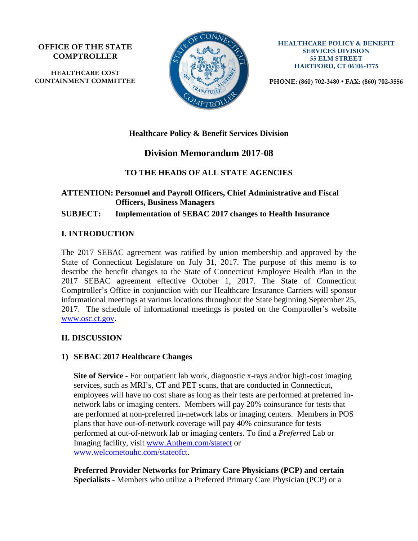**OFFICE OF THE STATE COMPTROLLER**

**HEALTHCARE COST CONTAINMENT COMMITTEE**



**HEALTHCARE POLICY & BENEFIT SERVICES DIVISION 55 ELM STREET HARTFORD, CT 06106-1775**

**PHONE: (860) 702-3480 • FAX: (860) 702-3556**

## **Healthcare Policy & Benefit Services Division**

# **Division Memorandum 2017-08**

## **TO THE HEADS OF ALL STATE AGENCIES**

## **ATTENTION: Personnel and Payroll Officers, Chief Administrative and Fiscal Officers, Business Managers**

**SUBJECT: Implementation of SEBAC 2017 changes to Health Insurance**

### **I. INTRODUCTION**

The 2017 SEBAC agreement was ratified by union membership and approved by the State of Connecticut Legislature on July 31, 2017. The purpose of this memo is to describe the benefit changes to the State of Connecticut Employee Health Plan in the 2017 SEBAC agreement effective October 1, 2017. The State of Connecticut Comptroller's Office in conjunction with our Healthcare Insurance Carriers will sponsor informational meetings at various locations throughout the State beginning September 25, 2017. The schedule of informational meetings is posted on the Comptroller's website [www.osc.ct.gov.](http://www.osc.ct.gov/)

### **II. DISCUSSION**

### **1) SEBAC 2017 Healthcare Changes**

**Site of Service -** For outpatient lab work, diagnostic x-rays and/or high-cost imaging services, such as MRI's, CT and PET scans, that are conducted in Connecticut, employees will have no cost share as long as their tests are performed at preferred innetwork labs or imaging centers. Members will pay 20% coinsurance for tests that are performed at non-preferred in-network labs or imaging centers. Members in POS plans that have out-of-network coverage will pay 40% coinsurance for tests performed at out-of-network lab or imaging centers. To find a *Preferred* Lab or Imaging facility, visit [www.Anthem.com/statect](http://www.anthem.com/statect) or [www.welcometouhc.com/stateofct.](http://www.welcometouhc.com/stateofct)

**Preferred Provider Networks for Primary Care Physicians (PCP) and certain Specialists -** Members who utilize a Preferred Primary Care Physician (PCP) or a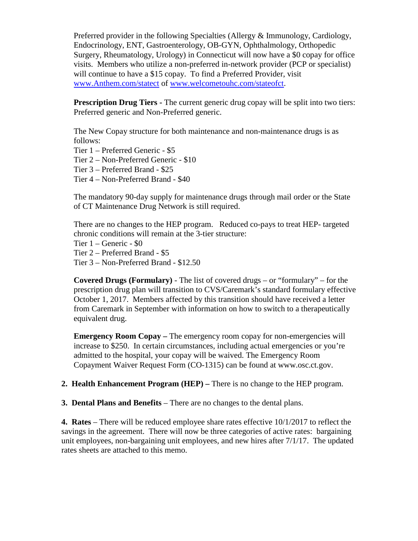Preferred provider in the following Specialties (Allergy & Immunology, Cardiology, Endocrinology, ENT, Gastroenterology, OB-GYN, Ophthalmology, Orthopedic Surgery, Rheumatology, Urology) in Connecticut will now have a \$0 copay for office visits. Members who utilize a non-preferred in-network provider (PCP or specialist) will continue to have a \$15 copay. To find a Preferred Provider, visit [www.Anthem.com/statect](http://www.anthem.com/statect) of [www.welcometouhc.com/stateofct.](http://www.welcometouhc.com/stateofct)

**Prescription Drug Tiers -** The current generic drug copay will be split into two tiers: Preferred generic and Non-Preferred generic.

The New Copay structure for both maintenance and non-maintenance drugs is as follows:

Tier 1 – Preferred Generic - \$5

Tier 2 – Non-Preferred Generic - \$10

Tier 3 – Preferred Brand - \$25

Tier 4 – Non-Preferred Brand - \$40

The mandatory 90-day supply for maintenance drugs through mail order or the State of CT Maintenance Drug Network is still required.

There are no changes to the HEP program. Reduced co-pays to treat HEP- targeted chronic conditions will remain at the 3-tier structure:

Tier 1 – Generic - \$0

Tier 2 – Preferred Brand - \$5

Tier 3 – Non-Preferred Brand - \$12.50

**Covered Drugs (Formulary)** - The list of covered drugs – or "formulary" – for the prescription drug plan will transition to CVS/Caremark's standard formulary effective October 1, 2017. Members affected by this transition should have received a letter from Caremark in September with information on how to switch to a therapeutically equivalent drug.

**Emergency Room Copay –** The emergency room copay for non-emergencies will increase to \$250. In certain circumstances, including actual emergencies or you're admitted to the hospital, your copay will be waived. The Emergency Room Copayment Waiver Request Form (CO-1315) can be found at www.osc.ct.gov.

**2. Health Enhancement Program (HEP) –** There is no change to the HEP program.

**3. Dental Plans and Benefits** – There are no changes to the dental plans.

**4. Rates** – There will be reduced employee share rates effective 10/1/2017 to reflect the savings in the agreement. There will now be three categories of active rates: bargaining unit employees, non-bargaining unit employees, and new hires after 7/1/17. The updated rates sheets are attached to this memo.